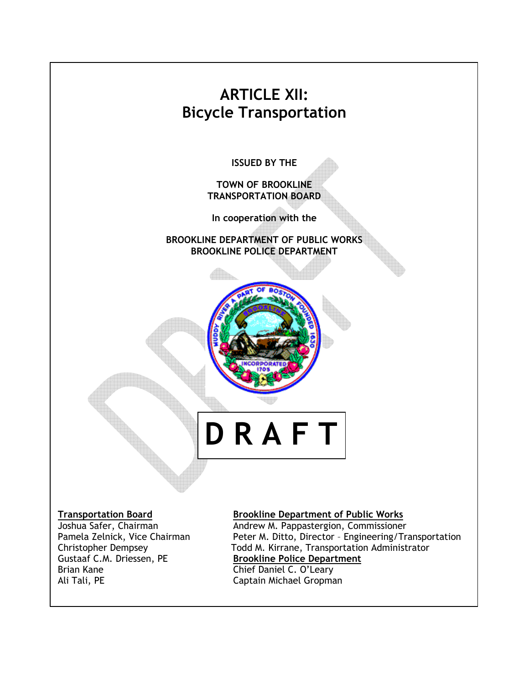

Gustaaf C.M. Driessen, PE Brookline Police Department Brian Kane **Chief Daniel C. O'Leary**<br>
Ali Tali, PE Captain Michael Gropma

Pamela Zelnick, Vice Chairman Peter M. Ditto, Director - Engineering/Transportation Christopher Dempsey Todd M. Kirrane, Transportation Administrator Captain Michael Gropman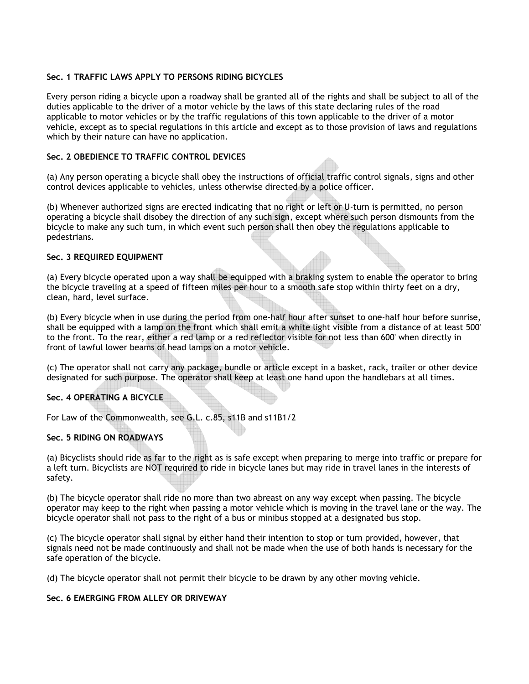# Sec. 1 TRAFFIC LAWS APPLY TO PERSONS RIDING BICYCLES

Every person riding a bicycle upon a roadway shall be granted all of the rights and shall be subject to all of the duties applicable to the driver of a motor vehicle by the laws of this state declaring rules of the road applicable to motor vehicles or by the traffic regulations of this town applicable to the driver of a motor vehicle, except as to special regulations in this article and except as to those provision of laws and regulations which by their nature can have no application.

## Sec. 2 OBEDIENCE TO TRAFFIC CONTROL DEVICES

(a) Any person operating a bicycle shall obey the instructions of official traffic control signals, signs and other control devices applicable to vehicles, unless otherwise directed by a police officer.

(b) Whenever authorized signs are erected indicating that no right or left or U-turn is permitted, no person operating a bicycle shall disobey the direction of any such sign, except where such person dismounts from the bicycle to make any such turn, in which event such person shall then obey the regulations applicable to pedestrians.

#### Sec. 3 REQUIRED EQUIPMENT

(a) Every bicycle operated upon a way shall be equipped with a braking system to enable the operator to bring the bicycle traveling at a speed of fifteen miles per hour to a smooth safe stop within thirty feet on a dry, clean, hard, level surface.

(b) Every bicycle when in use during the period from one-half hour after sunset to one-half hour before sunrise, shall be equipped with a lamp on the front which shall emit a white light visible from a distance of at least 500' to the front. To the rear, either a red lamp or a red reflector visible for not less than 600' when directly in front of lawful lower beams of head lamps on a motor vehicle.

(c) The operator shall not carry any package, bundle or article except in a basket, rack, trailer or other device designated for such purpose. The operator shall keep at least one hand upon the handlebars at all times.

# Sec. 4 OPERATING A BICYCLE

For Law of the Commonwealth, see G.L. c.85, s11B and s11B1/2

### Sec. 5 RIDING ON ROADWAYS

(a) Bicyclists should ride as far to the right as is safe except when preparing to merge into traffic or prepare for a left turn. Bicyclists are NOT required to ride in bicycle lanes but may ride in travel lanes in the interests of safety.

(b) The bicycle operator shall ride no more than two abreast on any way except when passing. The bicycle operator may keep to the right when passing a motor vehicle which is moving in the travel lane or the way. The bicycle operator shall not pass to the right of a bus or minibus stopped at a designated bus stop.

(c) The bicycle operator shall signal by either hand their intention to stop or turn provided, however, that signals need not be made continuously and shall not be made when the use of both hands is necessary for the safe operation of the bicycle.

(d) The bicycle operator shall not permit their bicycle to be drawn by any other moving vehicle.

# Sec. 6 EMERGING FROM ALLEY OR DRIVEWAY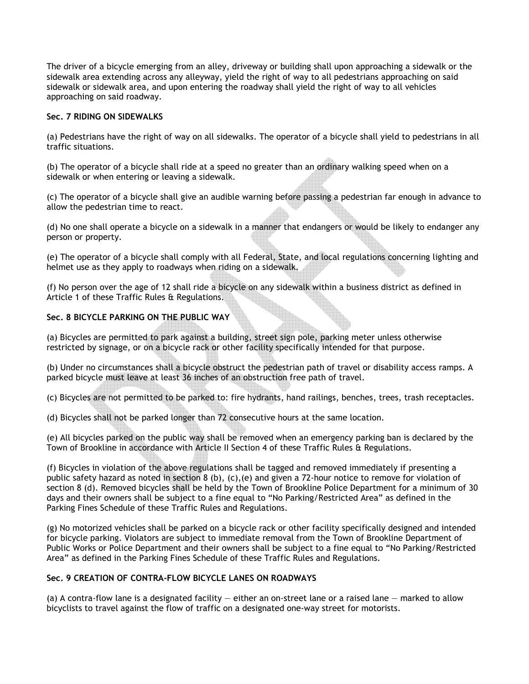The driver of a bicycle emerging from an alley, driveway or building shall upon approaching a sidewalk or the sidewalk area extending across any alleyway, yield the right of way to all pedestrians approaching on said sidewalk or sidewalk area, and upon entering the roadway shall yield the right of way to all vehicles approaching on said roadway.

### Sec. 7 RIDING ON SIDEWALKS

(a) Pedestrians have the right of way on all sidewalks. The operator of a bicycle shall yield to pedestrians in all traffic situations.

(b) The operator of a bicycle shall ride at a speed no greater than an ordinary walking speed when on a sidewalk or when entering or leaving a sidewalk.

(c) The operator of a bicycle shall give an audible warning before passing a pedestrian far enough in advance to allow the pedestrian time to react.

(d) No one shall operate a bicycle on a sidewalk in a manner that endangers or would be likely to endanger any person or property.

(e) The operator of a bicycle shall comply with all Federal, State, and local regulations concerning lighting and helmet use as they apply to roadways when riding on a sidewalk.

(f) No person over the age of 12 shall ride a bicycle on any sidewalk within a business district as defined in Article 1 of these Traffic Rules & Regulations.

## Sec. 8 BICYCLE PARKING ON THE PUBLIC WAY

(a) Bicycles are permitted to park against a building, street sign pole, parking meter unless otherwise restricted by signage, or on a bicycle rack or other facility specifically intended for that purpose.

(b) Under no circumstances shall a bicycle obstruct the pedestrian path of travel or disability access ramps. A parked bicycle must leave at least 36 inches of an obstruction free path of travel.

(c) Bicycles are not permitted to be parked to: fire hydrants, hand railings, benches, trees, trash receptacles.

(d) Bicycles shall not be parked longer than 72 consecutive hours at the same location.

(e) All bicycles parked on the public way shall be removed when an emergency parking ban is declared by the Town of Brookline in accordance with Article II Section 4 of these Traffic Rules & Regulations.

(f) Bicycles in violation of the above regulations shall be tagged and removed immediately if presenting a public safety hazard as noted in section 8 (b), (c),(e) and given a 72-hour notice to remove for violation of section 8 (d). Removed bicycles shall be held by the Town of Brookline Police Department for a minimum of 30 days and their owners shall be subject to a fine equal to "No Parking/Restricted Area" as defined in the Parking Fines Schedule of these Traffic Rules and Regulations.

(g) No motorized vehicles shall be parked on a bicycle rack or other facility specifically designed and intended for bicycle parking. Violators are subject to immediate removal from the Town of Brookline Department of Public Works or Police Department and their owners shall be subject to a fine equal to "No Parking/Restricted Area" as defined in the Parking Fines Schedule of these Traffic Rules and Regulations.

#### Sec. 9 CREATION OF CONTRA-FLOW BICYCLE LANES ON ROADWAYS

(a) A contra-flow lane is a designated facility — either an on-street lane or a raised lane — marked to allow bicyclists to travel against the flow of traffic on a designated one-way street for motorists.